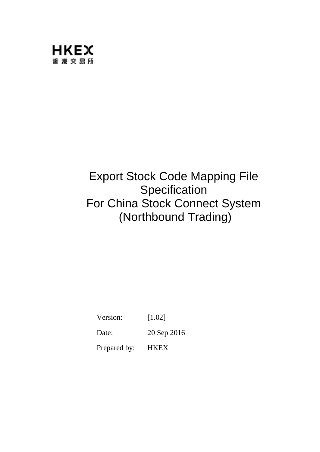

# Export Stock Code Mapping File **Specification** For China Stock Connect System (Northbound Trading)

Version: [1.02]

Date: 20 Sep 2016

Prepared by: HKEX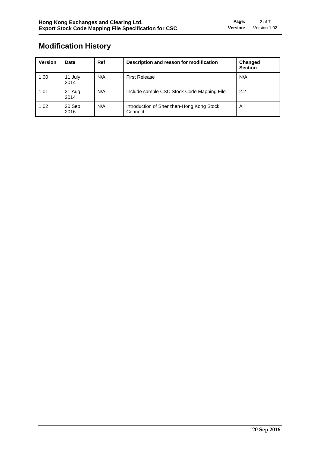# **Modification History**

| <b>Version</b> | Date            | Ref | Description and reason for modification             | Changed<br><b>Section</b> |
|----------------|-----------------|-----|-----------------------------------------------------|---------------------------|
| 1.00           | 11 July<br>2014 | N/A | <b>First Release</b>                                | N/A                       |
| 1.01           | 21 Aug<br>2014  | N/A | Include sample CSC Stock Code Mapping File          | 2.2                       |
| 1.02           | 20 Sep<br>2016  | N/A | Introduction of Shenzhen-Hong Kong Stock<br>Connect | All                       |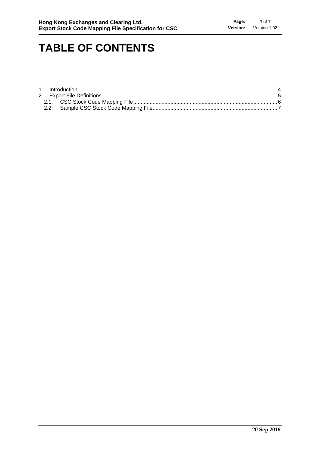# **TABLE OF CONTENTS**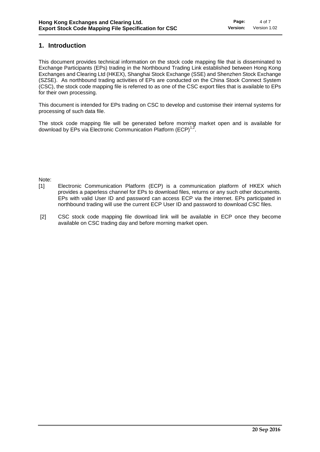### **1. Introduction**

This document provides technical information on the stock code mapping file that is disseminated to Exchange Participants (EPs) trading in the Northbound Trading Link established between Hong Kong Exchanges and Clearing Ltd (HKEX), Shanghai Stock Exchange (SSE) and Shenzhen Stock Exchange (SZSE). As northbound trading activities of EPs are conducted on the China Stock Connect System (CSC), the stock code mapping file is referred to as one of the CSC export files that is available to EPs for their own processing.

This document is intended for EPs trading on CSC to develop and customise their internal systems for processing of such data file.

The stock code mapping file will be generated before morning market open and is available for download by EPs via Electronic Communication Platform  $(ECP)^{1,2}$ .

### Note:

- [1] Electronic Communication Platform (ECP) is a communication platform of HKEX which provides a paperless channel for EPs to download files, returns or any such other documents. EPs with valid User ID and password can access ECP via the internet. EPs participated in northbound trading will use the current ECP User ID and password to download CSC files.
- [2] CSC stock code mapping file download link will be available in ECP once they become available on CSC trading day and before morning market open.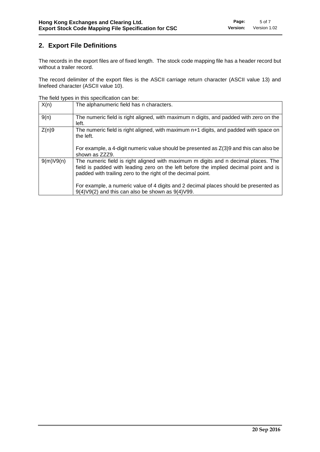# **2. Export File Definitions**

The records in the export files are of fixed length. The stock code mapping file has a header record but without a trailer record.

The record delimiter of the export files is the ASCII carriage return character (ASCII value 13) and linefeed character (ASCII value 10).

The field types in this specification can be:

| X(n)      | The alphanumeric field has n characters.                                                                                                                                                                                                    |
|-----------|---------------------------------------------------------------------------------------------------------------------------------------------------------------------------------------------------------------------------------------------|
| 9(n)      | The numeric field is right aligned, with maximum n digits, and padded with zero on the<br>left.                                                                                                                                             |
| Z(n)9     | The numeric field is right aligned, with maximum n+1 digits, and padded with space on<br>the left.                                                                                                                                          |
|           | For example, a 4-digit numeric value should be presented as $Z(3)9$ and this can also be<br>shown as ZZZ9.                                                                                                                                  |
| 9(m)V9(n) | The numeric field is right aligned with maximum m digits and n decimal places. The<br>field is padded with leading zero on the left before the implied decimal point and is<br>padded with trailing zero to the right of the decimal point. |
|           | For example, a numeric value of 4 digits and 2 decimal places should be presented as<br>$9(4) \vee 9(2)$ and this can also be shown as $9(4) \vee 99$ .                                                                                     |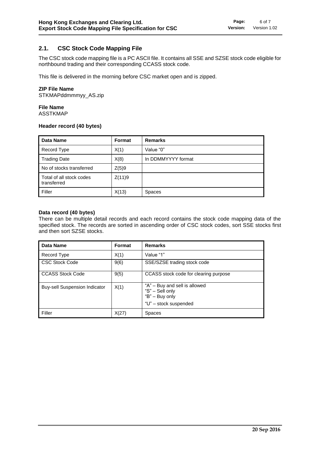#### **2.1. CSC Stock Code Mapping File**

The CSC stock code mapping file is a PC ASCII file. It contains all SSE and SZSE stock code eligible for northbound trading and their corresponding CCASS stock code.

This file is delivered in the morning before CSC market open and is zipped.

#### **ZIP File Name**

STKMAPddmmmyy\_AS.zip

#### **File Name**

ASSTKMAP

#### **Header record (40 bytes)**

| <b>Data Name</b>                        | Format | <b>Remarks</b>     |
|-----------------------------------------|--------|--------------------|
| Record Type                             | X(1)   | Value "0"          |
| <b>Trading Date</b>                     | X(8)   | In DDMMYYYY format |
| No of stocks transferred                | Z(5)9  |                    |
| Total of all stock codes<br>transferred | Z(11)9 |                    |
| Filler                                  | X(13)  | <b>Spaces</b>      |

#### **Data record (40 bytes)**

There can be multiple detail records and each record contains the stock code mapping data of the specified stock. The records are sorted in ascending order of CSC stock codes, sort SSE stocks first and then sort SZSE stocks.

| Data Name                            | <b>Format</b> | <b>Remarks</b>                                                                              |
|--------------------------------------|---------------|---------------------------------------------------------------------------------------------|
| Record Type                          | X(1)          | Value "1"                                                                                   |
| <b>CSC Stock Code</b>                | 9(6)          | SSE/SZSE trading stock code                                                                 |
| <b>CCASS Stock Code</b>              | 9(5)          | CCASS stock code for clearing purpose                                                       |
| <b>Buy-sell Suspension Indicator</b> | X(1)          | "A" – Buy and sell is allowed<br>"S" - Sell only<br>"B" - Buy only<br>"U" - stock suspended |
| Filler                               | X(27)         | <b>Spaces</b>                                                                               |